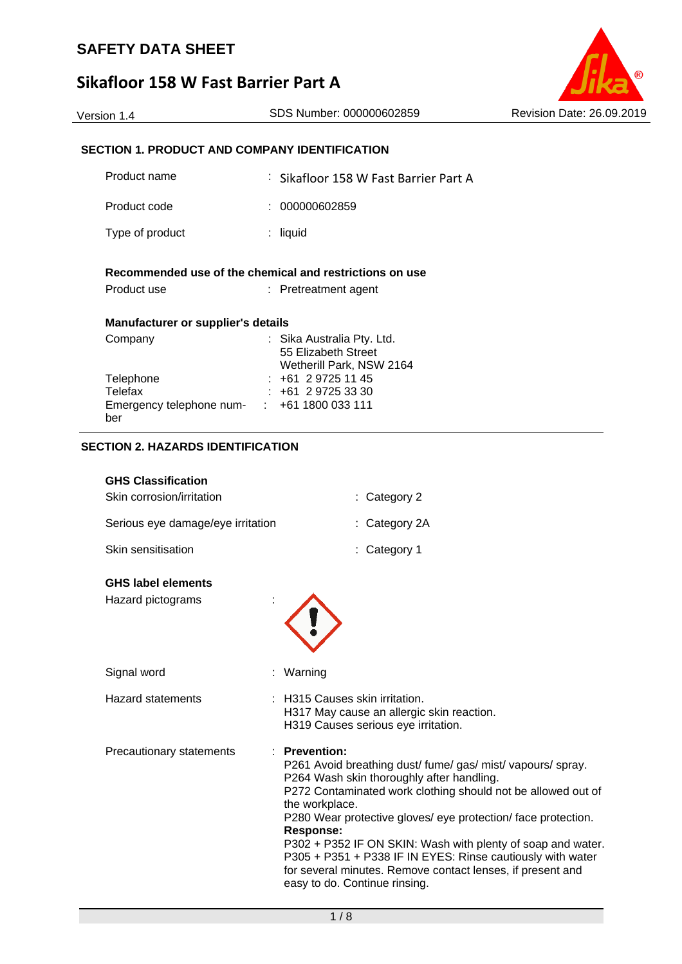## **Sikafloor 158 W Fast Barrier Part A**



## **SECTION 1. PRODUCT AND COMPANY IDENTIFICATION**

| Product name                                       | : Sikafloor 158 W Fast Barrier Part A                                             |
|----------------------------------------------------|-----------------------------------------------------------------------------------|
| Product code                                       | 000000602859                                                                      |
| Type of product                                    | liquid<br>t.                                                                      |
| Product use                                        | Recommended use of the chemical and restrictions on use<br>$:$ Pretreatment agent |
| <b>Manufacturer or supplier's details</b>          |                                                                                   |
| Company                                            | : Sika Australia Pty. Ltd.<br>55 Elizabeth Street<br>Wetherill Park, NSW 2164     |
| Telephone                                          | : +61 2 9725 11 45                                                                |
| Telefax                                            | $: +61297253330$                                                                  |
| Emergency telephone num- : +61 1800 033 111<br>ber |                                                                                   |

## **SECTION 2. HAZARDS IDENTIFICATION**

| <b>GHS Classification</b>         |                          |
|-----------------------------------|--------------------------|
| Skin corrosion/irritation         | $\therefore$ Category 2  |
| Serious eye damage/eye irritation | $\therefore$ Category 2A |
| Skin sensitisation                | $:$ Category 1           |

#### **GHS label elements**

| Hazard pictograms        |                                                                                                                                                                                                                                                                                                                                                                                                                                                                                                                    |
|--------------------------|--------------------------------------------------------------------------------------------------------------------------------------------------------------------------------------------------------------------------------------------------------------------------------------------------------------------------------------------------------------------------------------------------------------------------------------------------------------------------------------------------------------------|
| Signal word              | : Warning                                                                                                                                                                                                                                                                                                                                                                                                                                                                                                          |
| <b>Hazard statements</b> | : H315 Causes skin irritation.<br>H317 May cause an allergic skin reaction.<br>H319 Causes serious eye irritation.                                                                                                                                                                                                                                                                                                                                                                                                 |
| Precautionary statements | $:$ Prevention:<br>P261 Avoid breathing dust/fume/gas/mist/vapours/spray.<br>P264 Wash skin thoroughly after handling.<br>P272 Contaminated work clothing should not be allowed out of<br>the workplace.<br>P280 Wear protective gloves/ eye protection/ face protection.<br>Response:<br>P302 + P352 IF ON SKIN: Wash with plenty of soap and water.<br>P305 + P351 + P338 IF IN EYES: Rinse cautiously with water<br>for several minutes. Remove contact lenses, if present and<br>easy to do. Continue rinsing. |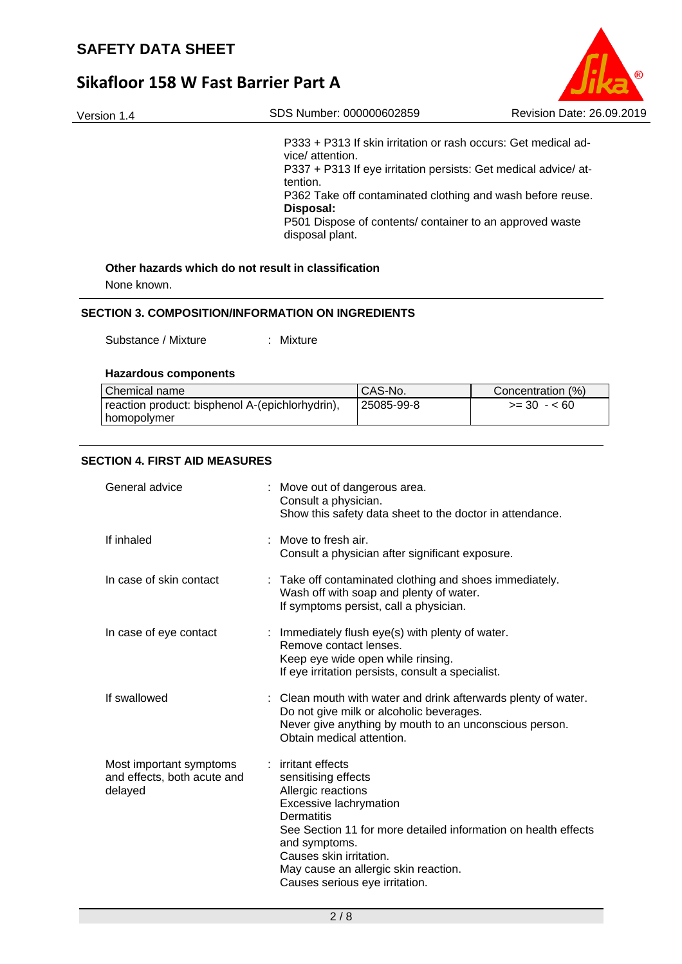# **Sikafloor 158 W Fast Barrier Part A**

| Version 1.4                                                                     | SDS Number: 000000602859                                                                                                                            |                                                                                                                                              | Revision Date: 26.09.2019                                                                                                                                                                                                                                   |
|---------------------------------------------------------------------------------|-----------------------------------------------------------------------------------------------------------------------------------------------------|----------------------------------------------------------------------------------------------------------------------------------------------|-------------------------------------------------------------------------------------------------------------------------------------------------------------------------------------------------------------------------------------------------------------|
|                                                                                 | vice/ attention.<br>tention.<br>Disposal:<br>disposal plant.                                                                                        |                                                                                                                                              | P333 + P313 If skin irritation or rash occurs: Get medical ad-<br>P337 + P313 If eye irritation persists: Get medical advice/ at-<br>P362 Take off contaminated clothing and wash before reuse.<br>P501 Dispose of contents/ container to an approved waste |
| Other hazards which do not result in classification<br>None known.              |                                                                                                                                                     |                                                                                                                                              |                                                                                                                                                                                                                                                             |
| <b>SECTION 3. COMPOSITION/INFORMATION ON INGREDIENTS</b><br>Substance / Mixture | : Mixture                                                                                                                                           |                                                                                                                                              |                                                                                                                                                                                                                                                             |
| <b>Hazardous components</b>                                                     |                                                                                                                                                     |                                                                                                                                              |                                                                                                                                                                                                                                                             |
| Chemical name                                                                   |                                                                                                                                                     | CAS-No.                                                                                                                                      | Concentration (%)                                                                                                                                                                                                                                           |
| reaction product: bisphenol A-(epichlorhydrin),<br>homopolymer                  |                                                                                                                                                     | 25085-99-8                                                                                                                                   | $>= 30 - 60$                                                                                                                                                                                                                                                |
| <b>SECTION 4. FIRST AID MEASURES</b><br>General advice                          | Consult a physician.                                                                                                                                | : Move out of dangerous area.<br>Show this safety data sheet to the doctor in attendance.                                                    |                                                                                                                                                                                                                                                             |
| If inhaled                                                                      | Move to fresh air.                                                                                                                                  | Consult a physician after significant exposure.                                                                                              |                                                                                                                                                                                                                                                             |
| In case of skin contact                                                         |                                                                                                                                                     | : Take off contaminated clothing and shoes immediately.<br>Wash off with soap and plenty of water.<br>If symptoms persist, call a physician. |                                                                                                                                                                                                                                                             |
| In case of eye contact                                                          | Remove contact lenses.                                                                                                                              | : Immediately flush eye(s) with plenty of water.<br>Keep eye wide open while rinsing.<br>If eye irritation persists, consult a specialist.   |                                                                                                                                                                                                                                                             |
| If swallowed                                                                    | Obtain medical attention.                                                                                                                           | Do not give milk or alcoholic beverages.                                                                                                     | : Clean mouth with water and drink afterwards plenty of water.<br>Never give anything by mouth to an unconscious person.                                                                                                                                    |
| Most important symptoms<br>and effects, both acute and<br>delayed               | : irritant effects<br>sensitising effects<br>Allergic reactions<br>Excessive lachrymation<br>Dermatitis<br>and symptoms.<br>Causes skin irritation. | May cause an allergic skin reaction.<br>Causes serious eye irritation.                                                                       | See Section 11 for more detailed information on health effects                                                                                                                                                                                              |

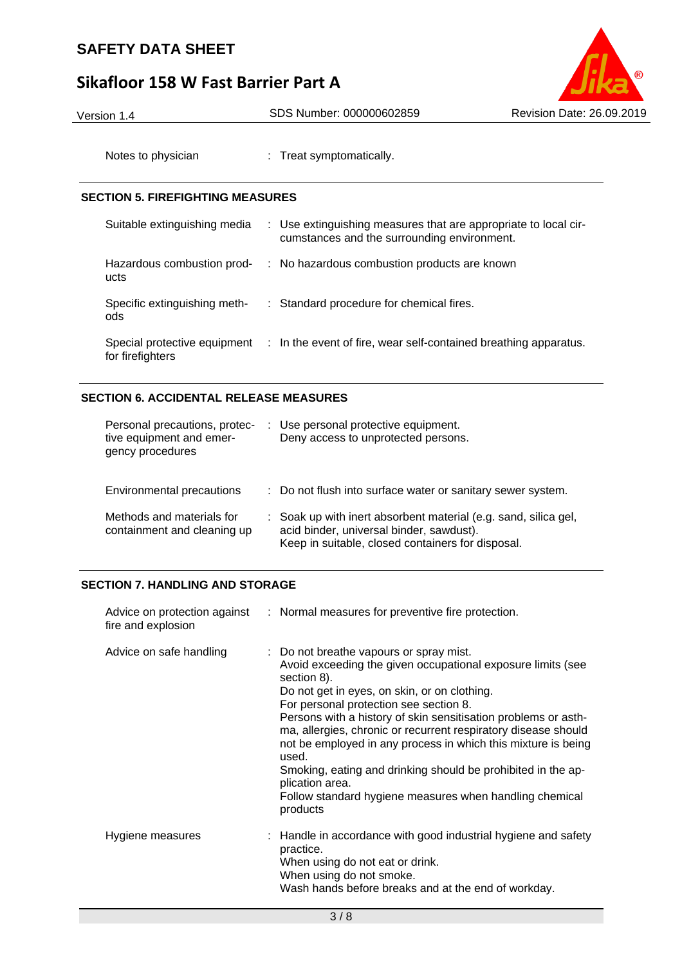# **Sikafloor 158 W Fast Barrier Part A**



Version 1.4 SDS Number: 000000602859 Revision Date: 26.09.2019

Notes to physician : Treat symptomatically.

## **SECTION 5. FIREFIGHTING MEASURES**

| Suitable extinguishing media                     | : Use extinguishing measures that are appropriate to local cir-<br>cumstances and the surrounding environment. |
|--------------------------------------------------|----------------------------------------------------------------------------------------------------------------|
| Hazardous combustion prod-<br>ucts               | : No hazardous combustion products are known                                                                   |
| Specific extinguishing meth-<br>ods              | : Standard procedure for chemical fires.                                                                       |
| Special protective equipment<br>for firefighters | : In the event of fire, wear self-contained breathing apparatus.                                               |

## **SECTION 6. ACCIDENTAL RELEASE MEASURES**

| Personal precautions, protec-<br>tive equipment and emer-<br>gency procedures | Use personal protective equipment.<br>Deny access to unprotected persons.                                                                                        |
|-------------------------------------------------------------------------------|------------------------------------------------------------------------------------------------------------------------------------------------------------------|
| Environmental precautions                                                     | : Do not flush into surface water or sanitary sewer system.                                                                                                      |
| Methods and materials for<br>containment and cleaning up                      | : Soak up with inert absorbent material (e.g. sand, silica gel,<br>acid binder, universal binder, sawdust).<br>Keep in suitable, closed containers for disposal. |

## **SECTION 7. HANDLING AND STORAGE**

| fire and explosion      | Advice on protection against : Normal measures for preventive fire protection.                                                                                                                                                                                                                                                                                                                                                                                                                                                                                                          |
|-------------------------|-----------------------------------------------------------------------------------------------------------------------------------------------------------------------------------------------------------------------------------------------------------------------------------------------------------------------------------------------------------------------------------------------------------------------------------------------------------------------------------------------------------------------------------------------------------------------------------------|
| Advice on safe handling | : Do not breathe vapours or spray mist.<br>Avoid exceeding the given occupational exposure limits (see<br>section 8).<br>Do not get in eyes, on skin, or on clothing.<br>For personal protection see section 8.<br>Persons with a history of skin sensitisation problems or asth-<br>ma, allergies, chronic or recurrent respiratory disease should<br>not be employed in any process in which this mixture is being<br>used.<br>Smoking, eating and drinking should be prohibited in the ap-<br>plication area.<br>Follow standard hygiene measures when handling chemical<br>products |
| Hygiene measures        | : Handle in accordance with good industrial hygiene and safety<br>practice.<br>When using do not eat or drink.<br>When using do not smoke.<br>Wash hands before breaks and at the end of workday.                                                                                                                                                                                                                                                                                                                                                                                       |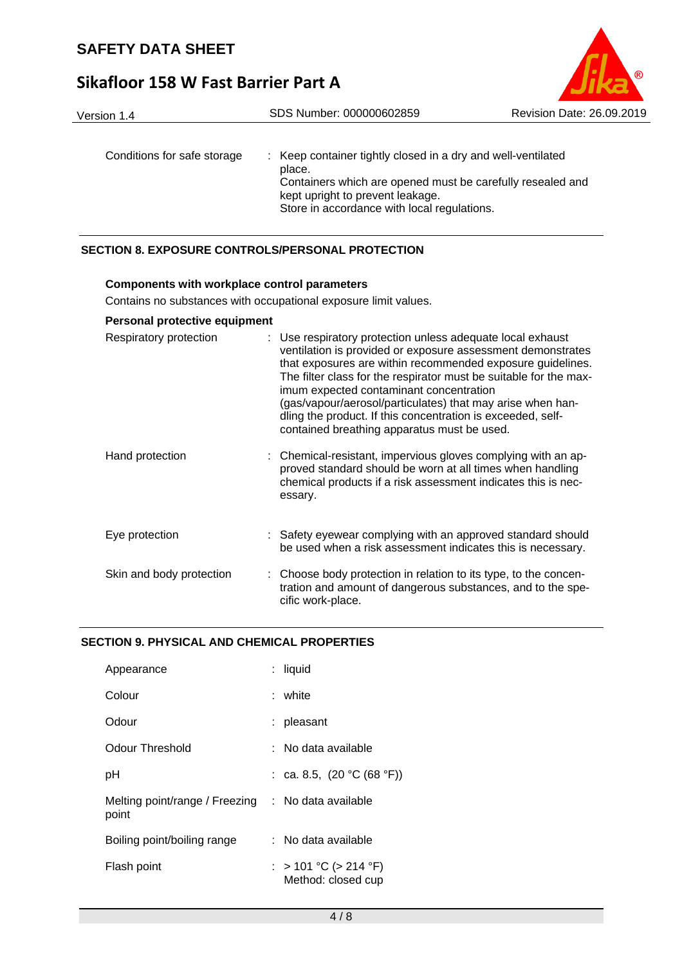# **Sikafloor 158 W Fast Barrier Part A**

| Version 1.4                 | SDS Number: 000000602859                                                                                                                                                 | Revision Date: 26,09,2019 |
|-----------------------------|--------------------------------------------------------------------------------------------------------------------------------------------------------------------------|---------------------------|
| Conditions for safe storage | : Keep container tightly closed in a dry and well-ventilated<br>place.<br>Containers which are opened must be carefully resealed and<br>kept upright to prevent leakage. |                           |
|                             | Store in accordance with local regulations.                                                                                                                              |                           |

 $^{\circ}$ 

## **SECTION 8. EXPOSURE CONTROLS/PERSONAL PROTECTION**

## **Components with workplace control parameters**

Contains no substances with occupational exposure limit values.

## **Personal protective equipment**

| Respiratory protection   | : Use respiratory protection unless adequate local exhaust<br>ventilation is provided or exposure assessment demonstrates<br>that exposures are within recommended exposure guidelines.<br>The filter class for the respirator must be suitable for the max-<br>imum expected contaminant concentration<br>(gas/vapour/aerosol/particulates) that may arise when han-<br>dling the product. If this concentration is exceeded, self-<br>contained breathing apparatus must be used. |
|--------------------------|-------------------------------------------------------------------------------------------------------------------------------------------------------------------------------------------------------------------------------------------------------------------------------------------------------------------------------------------------------------------------------------------------------------------------------------------------------------------------------------|
| Hand protection          | : Chemical-resistant, impervious gloves complying with an ap-<br>proved standard should be worn at all times when handling<br>chemical products if a risk assessment indicates this is nec-<br>essary.                                                                                                                                                                                                                                                                              |
| Eye protection           | : Safety eyewear complying with an approved standard should<br>be used when a risk assessment indicates this is necessary.                                                                                                                                                                                                                                                                                                                                                          |
| Skin and body protection | : Choose body protection in relation to its type, to the concen-<br>tration and amount of dangerous substances, and to the spe-<br>cific work-place.                                                                                                                                                                                                                                                                                                                                |

## **SECTION 9. PHYSICAL AND CHEMICAL PROPERTIES**

| Appearance                                                  | : liquid                                    |  |
|-------------------------------------------------------------|---------------------------------------------|--|
| Colour                                                      | white                                       |  |
| Odour                                                       | : pleasant                                  |  |
| Odour Threshold                                             | ∶ No data available                         |  |
| рH                                                          | : ca. 8.5, $(20 °C (68 °F))$                |  |
| Melting point/range / Freezing : No data available<br>point |                                             |  |
| Boiling point/boiling range                                 | : No data available                         |  |
| Flash point                                                 | : > 101 °C (> 214 °F)<br>Method: closed cup |  |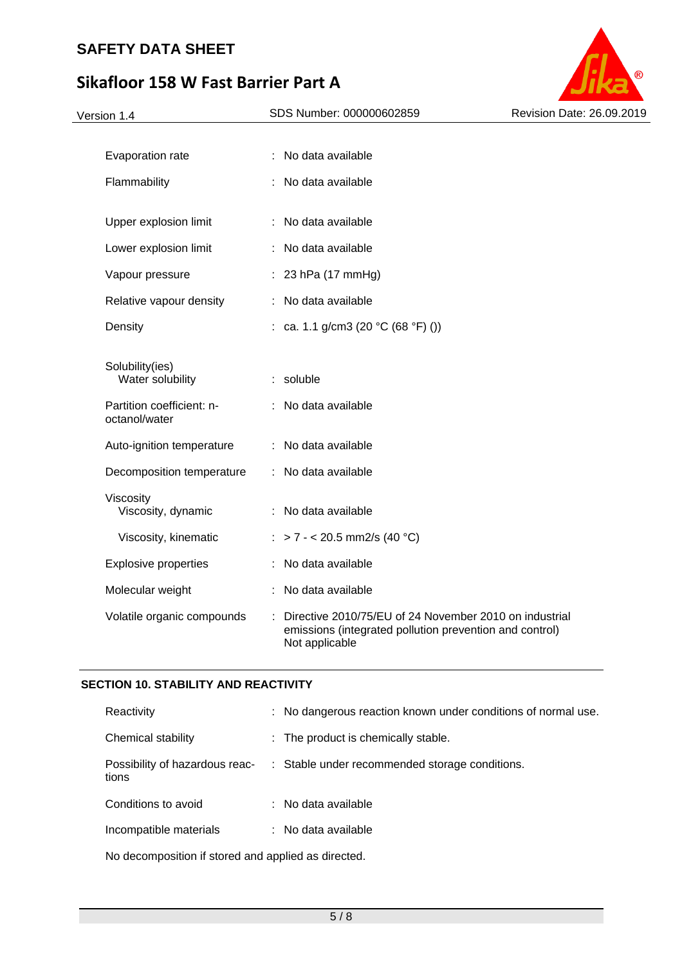# **Sikafloor 158 W Fast Barrier Part A**



## **SECTION 10. STABILITY AND REACTIVITY**

| Reactivity                                          |  | : No dangerous reaction known under conditions of normal use. |
|-----------------------------------------------------|--|---------------------------------------------------------------|
| Chemical stability                                  |  | : The product is chemically stable.                           |
| Possibility of hazardous reac-<br>tions             |  | : Stable under recommended storage conditions.                |
| Conditions to avoid                                 |  | : No data available                                           |
| Incompatible materials                              |  | : No data available                                           |
| No decomposition if stored and applied as directed. |  |                                                               |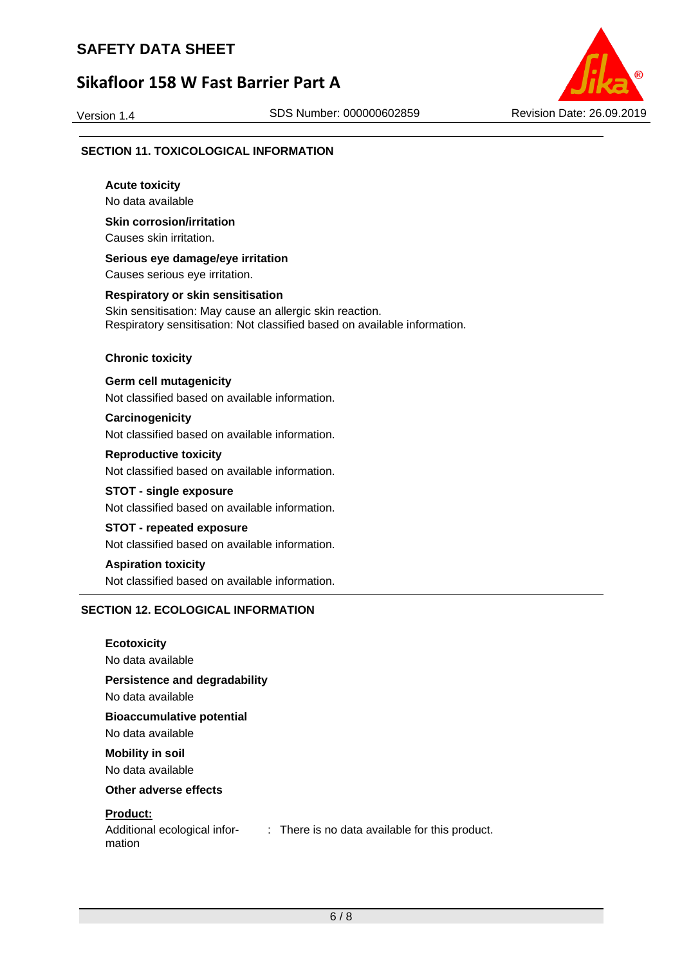# **Sikafloor 158 W Fast Barrier Part A**



#### **SECTION 11. TOXICOLOGICAL INFORMATION**

**Acute toxicity**  No data available **Skin corrosion/irritation**  Causes skin irritation. **Serious eye damage/eye irritation**  Causes serious eye irritation. **Respiratory or skin sensitisation**  Skin sensitisation: May cause an allergic skin reaction. Respiratory sensitisation: Not classified based on available information. **Chronic toxicity Germ cell mutagenicity**  Not classified based on available information. **Carcinogenicity**  Not classified based on available information. **Reproductive toxicity**  Not classified based on available information. **STOT - single exposure**  Not classified based on available information. **STOT - repeated exposure**  Not classified based on available information. **Aspiration toxicity**  Not classified based on available information. **SECTION 12. ECOLOGICAL INFORMATION** 

**Ecotoxicity** 

No data available

**Persistence and degradability** 

No data available

**Bioaccumulative potential** 

No data available

**Mobility in soil** 

No data available

**Other adverse effects** 

## **Product:**

mation

Additional ecological infor-: There is no data available for this product.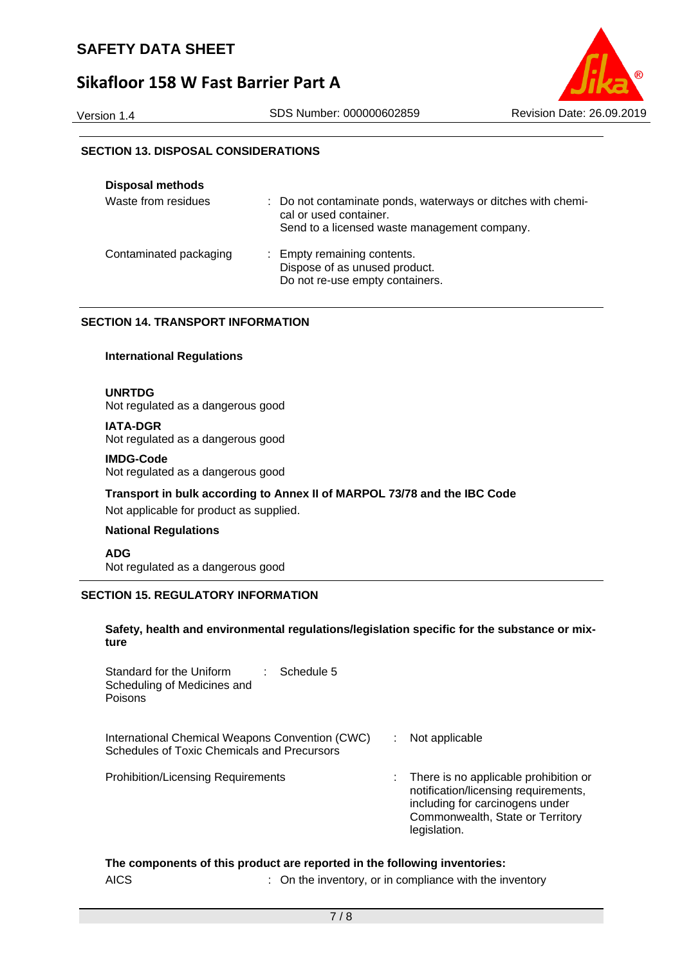## **Sikafloor 158 W Fast Barrier Part A**



## **SECTION 13. DISPOSAL CONSIDERATIONS**

| <b>Disposal methods</b> |                                                                                                                                        |
|-------------------------|----------------------------------------------------------------------------------------------------------------------------------------|
| Waste from residues     | : Do not contaminate ponds, waterways or ditches with chemi-<br>cal or used container.<br>Send to a licensed waste management company. |
| Contaminated packaging  | : Empty remaining contents.<br>Dispose of as unused product.<br>Do not re-use empty containers.                                        |

## **SECTION 14. TRANSPORT INFORMATION**

#### **International Regulations**

**UNRTDG** 

Not regulated as a dangerous good

**IATA-DGR**  Not regulated as a dangerous good

#### **IMDG-Code**  Not regulated as a dangerous good

**Transport in bulk according to Annex II of MARPOL 73/78 and the IBC Code** 

Not applicable for product as supplied.

#### **National Regulations**

**ADG**  Not regulated as a dangerous good

## **SECTION 15. REGULATORY INFORMATION**

#### **Safety, health and environmental regulations/legislation specific for the substance or mixture**

| Standard for the Uniform<br>Schedule 5<br>Scheduling of Medicines and<br>Poisons               |                                                                                                                                                                      |
|------------------------------------------------------------------------------------------------|----------------------------------------------------------------------------------------------------------------------------------------------------------------------|
| International Chemical Weapons Convention (CWC)<br>Schedules of Toxic Chemicals and Precursors | Not applicable                                                                                                                                                       |
| Prohibition/Licensing Requirements                                                             | There is no applicable prohibition or<br>notification/licensing requirements,<br>including for carcinogens under<br>Commonwealth, State or Territory<br>legislation. |

## **The components of this product are reported in the following inventories:**

AICS : On the inventory, or in compliance with the inventory